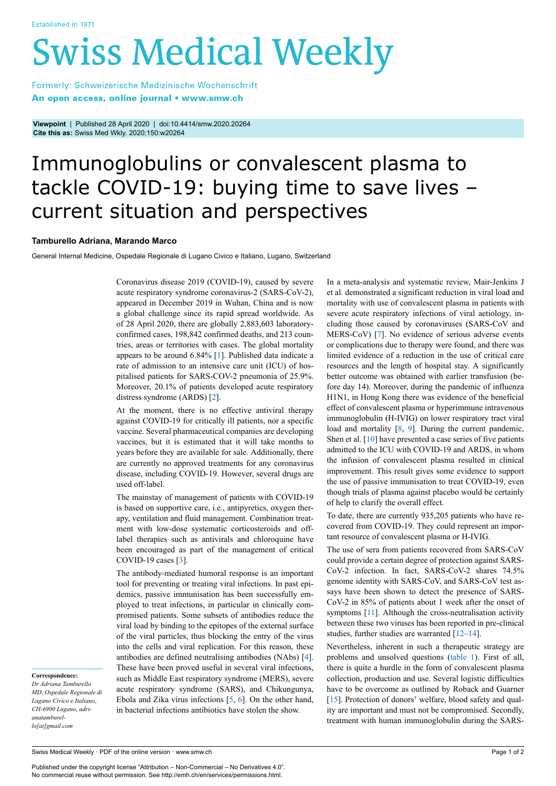# **Swiss Medical Weekly**

Formerly: Schweizerische Medizinische Wochenschrift An open access, online journal • www.smw.ch

**Viewpoint** | Published 28 April 2020 | doi:10.4414/smw.2020.20264 **Cite this as:** Swiss Med Wkly. 2020;150:w20264

# Immunoglobulins or convalescent plasma to tackle COVID-19: buying time to save lives – current situation and perspectives

### **Tamburello Adriana, Marando Marco**

General Internal Medicine, Ospedale Regionale di Lugano Civico e Italiano, Lugano, Switzerland

Coronavirus disease 2019 (COVID-19), caused by severe acute respiratory syndrome coronavirus-2 (SARS-CoV-2), appeared in December 2019 in Wuhan, China and is now a global challenge since its rapid spread worldwide. As of 28 April 2020, there are globally 2,883,603 laboratoryconfirmed cases, 198,842 confirmed deaths, and 213 countries, areas or territories with cases. The global mortality appears to be around 6.84% [\[1\]](#page-1-0). Published data indicate a rate of admission to an intensive care unit (ICU) of hospitalised patients for SARS-COV-2 pneumonia of 25.9%. Moreover, 20.1% of patients developed acute respiratory distress syndrome (ARDS) [[2](#page-1-1)].

At the moment, there is no effective antiviral therapy against COVID-19 for critically ill patients, nor a specific vaccine. Several pharmaceutical companies are developing vaccines, but it is estimated that it will take months to years before they are available for sale. Additionally, there are currently no approved treatments for any coronavirus disease, including COVID-19. However, several drugs are used off-label.

The mainstay of management of patients with COVID-19 is based on supportive care, i.e., antipyretics, oxygen therapy, ventilation and fluid management. Combination treatment with low-dose systematic corticosteroids and offlabel therapies such as antivirals and chloroquine have been encouraged as part of the management of critical COVID-19 cases [[3](#page-1-2)].

The antibody-mediated humoral response is an important tool for preventing or treating viral infections. In past epidemics, passive immunisation has been successfully employed to treat infections, in particular in clinically compromised patients. Some subsets of antibodies reduce the viral load by binding to the epitopes of the external surface of the viral particles, thus blocking the entry of the virus into the cells and viral replication. For this reason, these antibodies are defined neutralising antibodies (NAbs) [\[4\]](#page-1-3). These have been proved useful in several viral infections, such as Middle East respiratory syndrome (MERS), severe acute respiratory syndrome (SARS), and Chikungunya, Ebola and Zika virus infections [\[5,](#page-1-4) [6](#page-1-5)]. On the other hand, in bacterial infections antibiotics have stolen the show.

In a meta-analysis and systematic review, Mair-Jenkins J et al. demonstrated a significant reduction in viral load and mortality with use of convalescent plasma in patients with severe acute respiratory infections of viral aetiology, including those caused by coronaviruses (SARS-CoV and MERS-CoV) [\[7\]](#page-1-6). No evidence of serious adverse events or complications due to therapy were found, and there was limited evidence of a reduction in the use of critical care resources and the length of hospital stay. A significantly better outcome was obtained with earlier transfusion (before day 14). Moreover, during the pandemic of influenza H1N1, in Hong Kong there was evidence of the beneficial effect of convalescent plasma or hyperimmune intravenous immunoglobulin (H-IVIG) on lower respiratory tract viral load and mortality [\[8,](#page-1-7) [9](#page-1-8)]. During the current pandemic, Shen et al.  $[10]$  $[10]$  have presented a case series of five patients admitted to the ICU with COVID-19 and ARDS, in whom the infusion of convalescent plasma resulted in clinical improvement. This result gives some evidence to support the use of passive immunisation to treat COVID-19, even though trials of plasma against placebo would be certainly of help to clarify the overall effect.

To date, there are currently 935,205 patients who have recovered from COVID-19. They could represent an important resource of convalescent plasma or H-IVIG.

The use of sera from patients recovered from SARS-CoV could provide a certain degree of protection against SARS-CoV-2 infection. In fact, SARS-CoV-2 shares 74.5% genome identity with SARS-CoV, and SARS-CoV test assays have been shown to detect the presence of SARS-CoV-2 in 85% of patients about 1 week after the onset of symptoms [\[11\]](#page-1-10). Although the cross-neutralisation activity between these two viruses has been reported in pre-clinical studies, further studies are warranted [\[12](#page-1-11)–[14\]](#page-1-12).

Nevertheless, inherent in such a therapeutic strategy are problems and unsolved questions [\(table 1](#page-1-13)). First of all, there is quite a hurdle in the form of convalescent plasma collection, production and use. Several logistic difficulties have to be overcome as outlined by Roback and Guarner [\[15](#page-1-14)]. Protection of donors' welfare, blood safety and quality are important and must not be compromised. Secondly, treatment with human immunoglobulin during the SARS-

## **Correspondence:**

*Dr Adriana Tamburello MD*, *Ospedale Regionale di Lugano Civico e Italiano*, *CH-6900 Lugano*, *adrianatamburello[at]gmail.com*

Swiss Medical Weekly · PDF of the online version · www.smw.ch

Published under the copyright license "Attribution – Non-Commercial – No Derivatives 4.0". No commercial reuse without permission. See http://emh.ch/en/services/permissions.html.